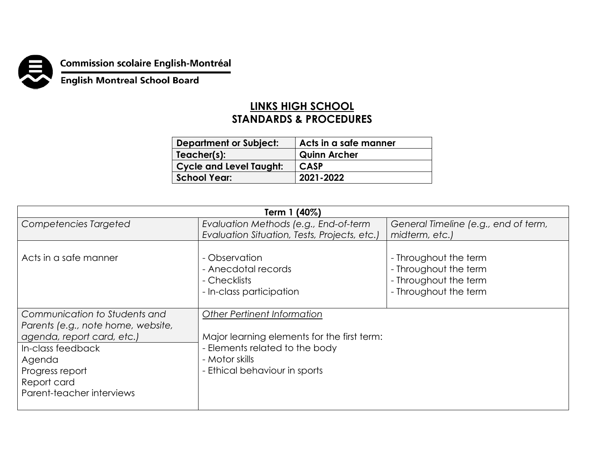

**Commission scolaire English-Montréal<br>English Montreal School Board** 

## **LINKS HIGH SCHOOL STANDARDS & PROCEDURES**

| <b>Department or Subject:</b>  | Acts in a safe manner |
|--------------------------------|-----------------------|
| Teacher(s):                    | <b>Quinn Archer</b>   |
| <b>Cycle and Level Taught:</b> | <b>CASP</b>           |
| School Year:                   | 2021-2022             |

| Term 1 (40%)                                                                                                                                                                                    |                                                                                                                                                                        |                                                                                                  |  |
|-------------------------------------------------------------------------------------------------------------------------------------------------------------------------------------------------|------------------------------------------------------------------------------------------------------------------------------------------------------------------------|--------------------------------------------------------------------------------------------------|--|
| Competencies Targeted                                                                                                                                                                           | Evaluation Methods (e.g., End-of-term                                                                                                                                  | General Timeline (e.g., end of term,                                                             |  |
|                                                                                                                                                                                                 | Evaluation Situation, Tests, Projects, etc.)                                                                                                                           | midterm, etc.)                                                                                   |  |
| Acts in a safe manner                                                                                                                                                                           | - Observation<br>- Anecdotal records<br>- Checklists<br>- In-class participation                                                                                       | - Throughout the term<br>- Throughout the term<br>- Throughout the term<br>- Throughout the term |  |
| Communication to Students and<br>Parents (e.g., note home, website,<br>agenda, report card, etc.)<br>In-class feedback<br>Agenda<br>Progress report<br>Report card<br>Parent-teacher interviews | <b>Other Pertinent Information</b><br>Major learning elements for the first term:<br>- Elements related to the body<br>- Motor skills<br>- Ethical behaviour in sports |                                                                                                  |  |